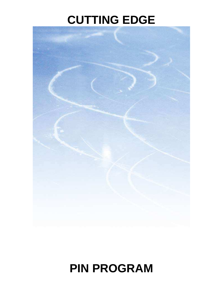# **CUTTING EDGE**

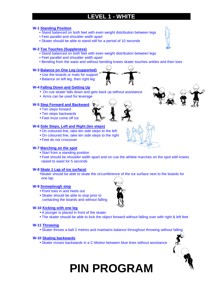# **LEVEL 1 - WHITE**

#### **W-1 Standing Position**

- Stand balanced on both feet with even weight distribution between legs
- Feet parallel and shoulder width apart
- Skater should be able to stand still for a period of 10 seconds

#### **W-2 Toe Touches (Suppleness)**

- Stand balanced on both feet with even weight distribution between legs
- Feet parallel and shoulder width apart
- Bending from the waist and without bending knees skater touches ankles and then toes

#### **W-3 Balance on One Leg (supported)**

- Use the boards or mats for support
- Balance on left leg, then right leg

#### **W-4 Falling Down and Getting Up**

- On cue skater falls down and gets back up without assistance
- Arms can be used for leverage

#### **W-5 Step Forward and Backward**

- Ten steps forward
- Ten steps backwards
- Feet must come off ice

#### **W-6 Side Steps, Left and Right (ten steps)**

- On coloured line, take ten side steps to the left.
- On coloured line, take ten side steps to the right
- Feet do not crossover

#### **W-7 Marching on the spot**

- Start from a standing position
- Feet should be shoulder width apart and on cue the athlete marches on the spot with knees raised to waist for 5 seconds

#### **W-8 Skate 1 Lap of ice surface)**

•Skater should be able to skate the circumference of the ice surface next to the boards for one lap

#### **W-9 Snowplough stop**

- Point toes in and heels out
- Skater should be able to stop prior to contacting the boards and without falling

#### **W-10 Kicking with one leg**

- A plunger is placed in front of the skater.
- The skater should be able to kick the object forward without falling over with right & left feet

#### **W-11 Throwing**

• Skater throws a ball 2 metres and maintains balance throughout throwing without falling

#### **W-10 Skating backwards**

• Skater moves backwards in a C-Motion between blue lines without assistance













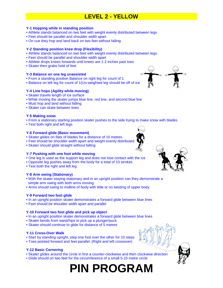## **LEVEL 2 - YELLOW**

#### **Y-1 Hopping while in standing position**

- Athlete stands balanced on two feet with weight evenly distributed between legs
- Feet should be parallel and shoulder width apart
- On cue they hop and land back on two feet without falling

#### **Y-2 Standing position knee drop (Flexibility)**

- Athlete stands balanced on two feet with weight evenly distributed between legs
- Feet should be parallel and shoulder width apart
- Athlete drops knees forwards until knees are 1-2 inches past toes
- Skater then grabs hold of feet

#### **Y-3 Balance on one leg unassisted**

- From a standing position Balance on right leg for count of 1
- Balance on left leg for count of 1(Un-weighted leg should be off of ice)

#### **Y-4 Line hops (Agility while moving)**

- Skater travels length of ice surface
- While moving the skater jumps blue line, red line, and second blue line
- Must hop and land without falling
- Skater can skate between lines

#### **Y-5 Making snow**

- From a stationary starting position skater pushes to the side trying to make snow with blades
- Test both right and left legs

#### **Y-6 Forward glide (Basic movement)**

- Skater glides on flats of blades for a distance of 10 metres
- Feet should be shoulder width apart and weight evenly distributed
- Skater should glide straight without falling

#### **Y-7 Pushing with one foot while moving**

- One leg is used as the support leg and does not lose contact with the ice
- Opposite leg pushes away from the body for a total of 10 strokes
- Test both the right and left leg

#### **Y-8 Arm swing (Stationary)**

- With the skater staying stationary and in an upright position can they demonstrate a simple arm swing with both arms moving
- Arms should swing to midline of body with little or no twisting of upper body

#### **Y-9 Forward two foot glide**

- In an upright position skater demonstrates a forward glide between blue lines
- Feet should be shoulder width apart and parallel

#### **Y-10 Forward two foot glide and pick up object**

- In an upright position skater demonstrates a forward glide between blue lines
- Skater bends from waist/hips to pick up a plunger/puck
- Skater should continue to glide for distance of 5 metres

#### **Y-11 Cross-Over Walk**

- Start by standing upright, step one foot over the other for 10 steps
- Toes pointed forward and feet parallel. (Right and left crossover)

#### **Y-12 Basic Cornering**

- Skater glides around the circle in first a counter-clockwise and then clockwise direction
- Glide should on two feet for the circumference of a small 5-10 metre circle









- 
- 
-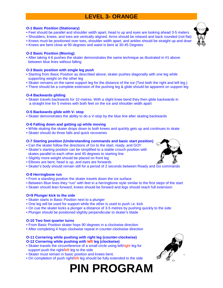# **LEVEL 3- ORANGE**

#### **O-1 Basic Position (Stationary)**

- Feet should be parallel and shoulder width apart, head is up and eyes are looking ahead 3-5 meters
- Shoulders, knees, and toes are vertically aligned. Arms should be relaxed and back rounded (not flat)
- Knees must be positioned over toes, shoulder width apart, and ankles should be straight up and down
- Knees are bent close at 90 degrees and waist is bent at 30-45 Degrees

#### **O-2 Basic Position (Moving)**

• After taking 4-6 pushes the skater demonstrates the same technique as illustrated in #1 above between blue lines without falling

#### **O-3 Basic position with single leg push**

- Starting from Basic Position as described above, skater pushes diagonally with one leg while supporting weight on the other leg
- Skater remains on the same support leg for the distance of the ice (Test both the right and left leg.)
- There should be a complete extension of the pushing leg & glide should be apparent on support leg

#### **O-4 Backwards gliding**

• Skater travels backwards for 10 metres. With a slight knee bend they then glide backwards in a straight line for 5 metres with both feet on the ice and shoulder width apart

#### **O-5 Backwards glide with V- stop**

• Skater demonstrates the ability to do a V-stop by the blue line after skating backwards

#### **O-6 Falling down and getting up while moving**

- While skating the skater drops down to both knees and quickly gets up and continues to skate
- Skater should do three falls and quick recoveries

#### **O-7 Starting position (Understanding commands and basic start position)**

- Can the skater follow the directions of Go to the start, ready, and GO!!
- Skater's starting position can be simplified to a stable crouch position with skates parallel to each other and 45 degrees to starting line
- Slightly more weight should be placed on front leg
- Elbows are bent, head is up, and eyes are forwards
- Skater's body should remain still for a period of 2 seconds between Ready and Go commands

#### **O-8 Herringbone run**

- From a standing position the skater travels down the ice surface
- Between Blue lines they "run" with feet in a herringbone style similar to the first steps of the start
- Skater should lean forward, knees should be forward and legs should reach full extension

#### **O=9 Plunger kick to the side**

- Skater starts in Basic Position next to a plunger
- One leg will be used for support while the other is used to push i.e. kick
- On cue the skater kicks a plunger a distance of 3-5 metres by pushing quickly to the side
- Plunger should be positioned slightly perpendicular to skater's blade

#### **O-10 Two foot quarter turns**

- From Basic Position skater hops 90 degrees in a clockwise direction
- After completing 4 hops clockwise repeat in counter-clockwise direction

#### **O-11 Cornering while pushing with right leg (counter-clockwise) O-12 Cornering while pushing with left leg (clockwise)**

- Skater travels the circumference of a small circle using left/right leg for support push the right/left leg to the side
- Skater must remain in basic position and knees bent.
- On completion of push right/left leg should be fully extended to the side





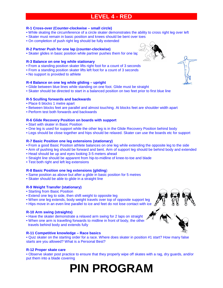### **LEVEL 4 - RED**

#### **R-1 Cross-over (Counter-clockwise – small circle)**

- While skating the circumference of a circle skater demonstrates the ability to cross right leg over left
- Skater must remain in basic position and knees should be bent over toes
- On completion of push right leg should be fully extended

#### **R-2 Partner Push for one lap (counter-clockwise)**

• Skater glides in basic position while partner pushes them for one lap

#### **R-3 Balance on one leg while stationary**

- From a standing position skater lifts right foot for a count of 3 seconds
- From a standing position skater lifts left foot for a count of 3 seconds
- No support is provided to athlete

#### **R-4 Balance on one leg while gliding – upright**

- Glide between blue lines while standing on one foot. Glide must be straight
- Skater should be directed to start in a balanced position on two feet prior to first blue line

#### **R-5 Sculling forwards and backwards**

- Place 6 blocks 1 metre apart
- Between blocks feet are parallel and almost touching. At blocks feet are shoulder width apart
- Perform test both forwards and backwards

#### **R-6 Glide Recovery Position on boards with support**

- Start with skater in Basic Position
- One leg is used for support while the other leg is in the Glide Recovery Position behind body
- Legs should be close together and hips should be relaxed. Skater can use the boards etc for support

#### **R-7 Basic Position one leg extensions (stationary)**

- From a good Basic Position athlete balances on one leg while extending the opposite leg to the side
- Arm of pushing leg should be forward and bent. Arm of support leg should be behind body and extended
- Head should be up and eyes looking 3-5 meters ahead
- Straight line should be apparent from hip-to-midline of knee-to-toe and blade
- Test both right and left leg extensions

#### **R-8 Basic Position one leg extensions (gliding**)

- Same position as above but after a glide in basic position for 5 metres
- Skater should be able to glide in a straight line

#### **R-9 Weight Transfer (stationary)**

- Starting from Basic Position
- Extend one leg to side, then shift weight to opposite leg
- When one leg extends, body weight travels over top of opposite support leg
- Hips move in an even line parallel to ice and feet do not lose contact with ice

#### **R-10 Arm swing (straights)**

- Have the skater demonstrate a relaxed arm swing for 2 laps on straight
- When one arm is travelling forwards to midline in front of body, the other travels behind body and extends fully

#### **R-11 Competitive knowledge – Race basics**

• Quiz skater on the starting order for a race. Where does skater in position #1 start? How many false starts are you allowed? What is a Personal Best?

#### **R-12 Proper skate care**

• Observe skater post practice to ensure that they properly wipe off skates with a rag, dry guards, and/or put them into a blade covering



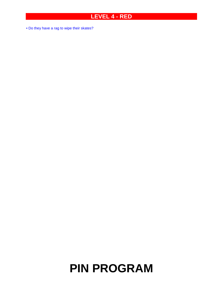## **LEVEL 4 - RED**

• Do they have a rag to wipe their skates?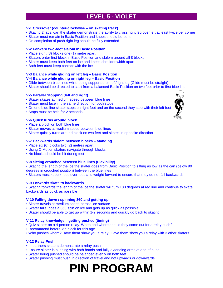### **LEVEL 5 - VIOLET**

#### **V-1 Crossover (counter-clockwise – on skating track)**

- Skating 2 laps, can the skater demonstrate the ability to cross right leg over left at least twice per corner
- Skater must remain in Basic Position and knees should be bent
- On completion of push right leg should be fully extended

#### **V-2 Forward two-foot slalom in Basic Position**

- Place eight (8) blocks one (1) metre apart
- Skaters enter first block in Basic Position and slalom around all 8 blocks
- Skater must keep both feet on ice and knees shoulder width apart
- Both feet must keep contact with the ice

#### **V-3 Balance while gliding on left leg – Basic Position**

#### **V-4 Balance while gliding on right leg – Basic Position**

- Glide between blue lines while being supported on left/right leg (Glide must be straight)
- Skater should be directed to start from a balanced Basic Position on two feet prior to first blue line

#### **V-5 Parallel Stopping (left and right)**

- Skater skates at medium speed between blue lines
- Skater must face in the same direction for both stops
- On one blue line skater stops on right foot and on the second they stop with their left foot
- Stops must be held for 2 seconds

#### **V-6 Quick turns around block**

- Place a block on both blue lines
- Skater moves at medium speed between blue lines
- Skater quickly turns around block on two feet and skates in opposite direction

#### **V-7 Backwards slalom between blocks – standing**

- Place six (6) blocks two (2) metres apart
- Using C Motion skaters navigate through blocks
- No blocks should be hit during test

#### **V-8 Sitting crouched between blue lines (Flexibility)**

• Skating the length of the ice the skater goes from Basic Position to sitting as low as the can (below 90 degrees in crouched position) between the blue lines

• Skaters must keep knees over toes and weight forward to ensure that they do not fall backwards

#### **V-9 Forwards skate to backwards**

• Skating forwards the length of the ice the skater will turn 180 degrees at red line and continue to skate backwards as quick as possible

#### **V-10 Falling down / spinning 360 and getting up**

- Skater travels at medium speed across ice surface
- Skater falls, does a 360 spin on ice and gets up as quick as possible
- Skater should be able to get up within 1-2 seconds and quickly go back to skating

#### **V-11 Relay knowledge – getting pushed (timing)**

- Quiz skater on a 4 person relay. When and where should they come out for a relay push?
- Recommend before 7th block for this age
- Who pushes whom? Have them show you a relay• Have them show you a relay with 3 other skaters

#### **V-12 Relay Push**

- In partners skaters demonstrate a relay push
- Ensure skater is pushing with both hands and fully extending arms at end of push
- Skater being pushed should be balanced evenly on both feet
- Skater pushing must push in direction of travel and not upwards or downwards

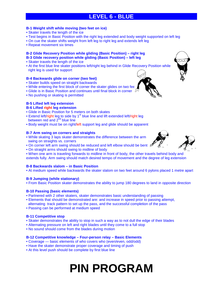### **LEVEL 6 - BLUE**

#### **B-1 Weight shift while moving (two feet on ice)**

- Skater travels the length of the ice
- Test begins in Basic Position with the right leg extended and body weight supported on left leg
- On cue the skater shifts weight from left leg to right leg and extends left leg
- Repeat movement six times

### **B-2 Glide Recovery Position while gliding (Basic Position) – right leg**

- **B-3 Glide recovery position while gliding (Basic Position) left leg**
- Skater travels the length of the ice
- At the first blue line skater positions left/right leg behind in Glide Recovery Position while right leg is used for support

#### **B-4 Backwards glide on corner (two feet)**

- Skater builds speed on straight backwards
- While entering the first block of corner the skater glides on two fee
- Glide is in Basic Position and continues until final block in corner  $\sqrt{10}$
- No pushing or skating is permitted

#### **B-5 Lifted left leg extension**

#### **B-6 Lifted right leg extension**

- Glide in Basic Position for 5 meters on both skates
- Extend left/right leg to side by 1<sup>st</sup> blue line and lift extended left/right leg between red and  $2<sup>nd</sup>$  blue line
- Body weight must be on right/left support leg and glide should be apparent

#### **B-7 Arm swing on corners and straights**

- While skating 3 laps skater demonstrates the difference between the arm swing on straights vs. corners
- On corner left arm swing should be reduced and left elbow should be bent  $\oint$
- On straight arms should swing to midline of body
- When one arm is traveling forwards to midline in front of body, the other travels behind body and

extends fully. Arm swing should match desired tempo of movement and the degree of leg extension

#### **B-8 Backwards slalom – in Basic Position**

• At medium speed while backwards the skater slalom on two feet around 6 pylons placed 1 metre apart

#### **B-9 Jumping (while stationary)**

• From Basic Position skater demonstrates the ability to jump 180 degrees to land in opposite direction

#### **B-10 Passing (basic elements)**

- Partnered with 2 other skaters, skater demonstrates basic understanding of passing
- Elements that should be demonstrated are: and increase in speed prior to passing attempt,
- alternating track pattern to set up the pass, and the successful completion of the pass
- Passing can be performed at medium speed

#### **B-11 Competitive stop**

- Skater demonstrates the ability to stop in such a way as to not dull the edge of their blades
- Alternating pressure on left and right blades until they come to a full stop
- No sound should come from the blades during motion

#### **B-12 Competitive knowledge – Four-person relay – Basic Elements**

- Coverage basic elements of who covers who (even/even, odd/odd)
- Have the skater demonstrate proper coverage and timing of push
- At this level push should be complete by first blue line



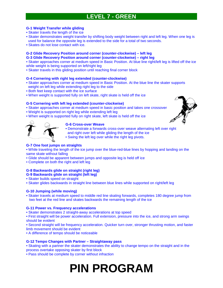### **LEVEL 7 - GREEN**

#### **G-1 Weight Transfer while gliding**

- Skater travels the length of the ice
- Skater demonstrates weight transfer by shifting body weight between right and left leg. When one leg is used for balance the opposite leg is extended to the side for a total of two seconds.
- Skates do not lose contact with ice.

#### **G-2 Glide Recovery Position around corner (counter-clockwise) – left leg**

**G-3 Glide Recovery Position around corner (counter-clockwise) – right leg** 

• Skater approaches corner at medium speed in Basic Position. At blue line right/left leg is lifted off the ice while weight is being supported on left/right leg

• Skater travels in this gliding position until reaching final corner block

#### **G-4 Cornering with right leg extended (counter-clockwise)**

- Skater approaches corner at medium speed in Basic Position. At the blue line the skater supports weight on left leg while extending right leg to the side
- Both feet keep contact with the ice surface
- When weight is supported fully on left skate, right skate is held off the ice

#### **G-5 Cornering with left leg extended (counter-clockwise)**

- Skater approaches corner at medium speed in basic position and takes one crossover
- Weight is supported on right leg while extending left leg
- When weight is supported fully on right skate, left skate is held off the ice



#### **G-6 Cross-over Weave**

- Demonstrate a forwards cross-over weave alternating left over right
- and right over left while gliding the length of the ice
- Swing the left leg over while the right leg pivots.

#### **G-7 One foot jumps on straights**

• While traveling the length of the ice jump over the blue-red-blue lines by hopping and landing on the same skate without falling

- Glide should be apparent between jumps and opposite leg is held off ice
- Complete on both the right and left leg

#### **G-8 Backwards glide on straight (right leg)**

#### **G-9 Backwards glide on straight (left leg)**

- Skater builds speed on straight
- Skater glides backwards in straight line between blue lines while supported on right/left leg

#### **G-10 Jumping (while moving)**

• Skater travels at medium speed to middle red line skating forwards, completes 180 degree jump from two feet at the red line and skates backwards the remaining length of the ice

#### **G-11 Power vs. Frequency accelerations**

- Skater demonstrates 2 straight-away accelerations at top speed
- First straight will be power acceleration. Full extension, pressure into the ice, and strong arm swings should be evident
- Second straight will be frequency acceleration. Quicker turn over, stronger thrusting motion, and faster limb movement should be evident
- A difference of tempo should be noticeable

#### **G-12 Tempo Changes with Partner – Straightaway pass**

• Skating with a partner the skater demonstrates the ability to change tempo on the straight and in the process overtake opposing skater by first block

• Pass should be complete by corner without infraction